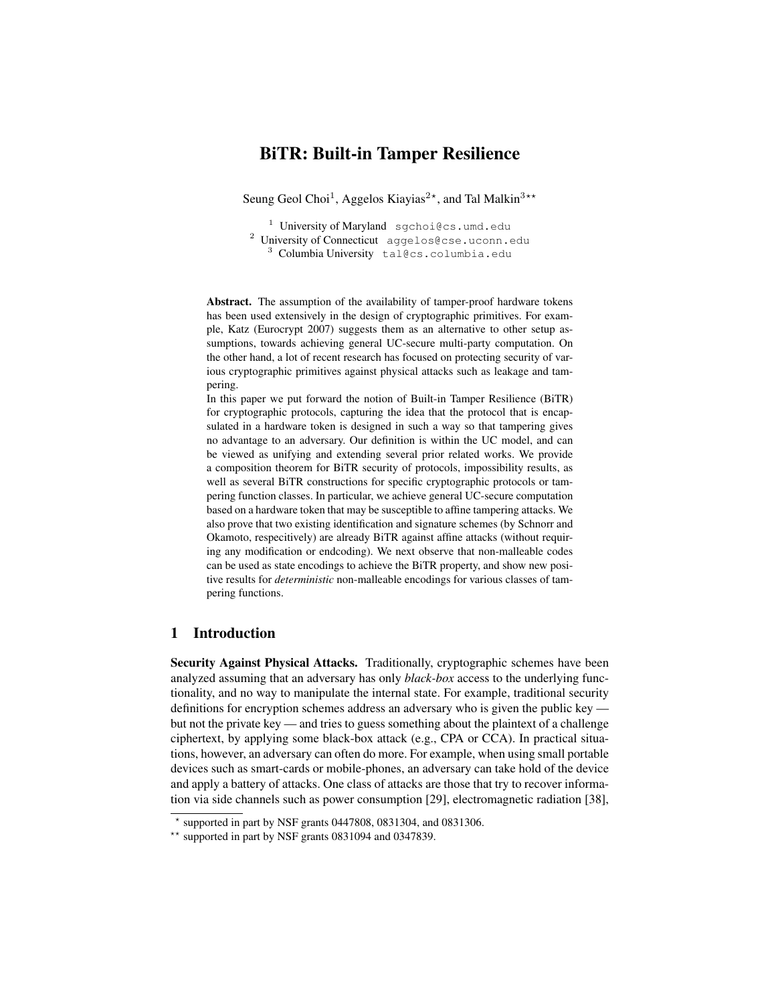# BiTR: Built-in Tamper Resilience

Seung Geol Choi<sup>1</sup>, Aggelos Kiayias<sup>2\*</sup>, and Tal Malkin<sup>3\*\*</sup>

<sup>1</sup> University of Maryland sgchoi@cs.umd.edu <sup>2</sup> University of Connecticut aggelos@cse.uconn.edu <sup>3</sup> Columbia University tal@cs.columbia.edu

Abstract. The assumption of the availability of tamper-proof hardware tokens has been used extensively in the design of cryptographic primitives. For example, Katz (Eurocrypt 2007) suggests them as an alternative to other setup assumptions, towards achieving general UC-secure multi-party computation. On the other hand, a lot of recent research has focused on protecting security of various cryptographic primitives against physical attacks such as leakage and tampering.

In this paper we put forward the notion of Built-in Tamper Resilience (BiTR) for cryptographic protocols, capturing the idea that the protocol that is encapsulated in a hardware token is designed in such a way so that tampering gives no advantage to an adversary. Our definition is within the UC model, and can be viewed as unifying and extending several prior related works. We provide a composition theorem for BiTR security of protocols, impossibility results, as well as several BiTR constructions for specific cryptographic protocols or tampering function classes. In particular, we achieve general UC-secure computation based on a hardware token that may be susceptible to affine tampering attacks. We also prove that two existing identification and signature schemes (by Schnorr and Okamoto, respecitively) are already BiTR against affine attacks (without requiring any modification or endcoding). We next observe that non-malleable codes can be used as state encodings to achieve the BiTR property, and show new positive results for *deterministic* non-malleable encodings for various classes of tampering functions.

# 1 Introduction

Security Against Physical Attacks. Traditionally, cryptographic schemes have been analyzed assuming that an adversary has only *black-box* access to the underlying functionality, and no way to manipulate the internal state. For example, traditional security definitions for encryption schemes address an adversary who is given the public key but not the private key — and tries to guess something about the plaintext of a challenge ciphertext, by applying some black-box attack (e.g., CPA or CCA). In practical situations, however, an adversary can often do more. For example, when using small portable devices such as smart-cards or mobile-phones, an adversary can take hold of the device and apply a battery of attacks. One class of attacks are those that try to recover information via side channels such as power consumption [29], electromagnetic radiation [38],

<sup>?</sup> supported in part by NSF grants 0447808, 0831304, and 0831306.

 $**$  supported in part by NSF grants 0831094 and 0347839.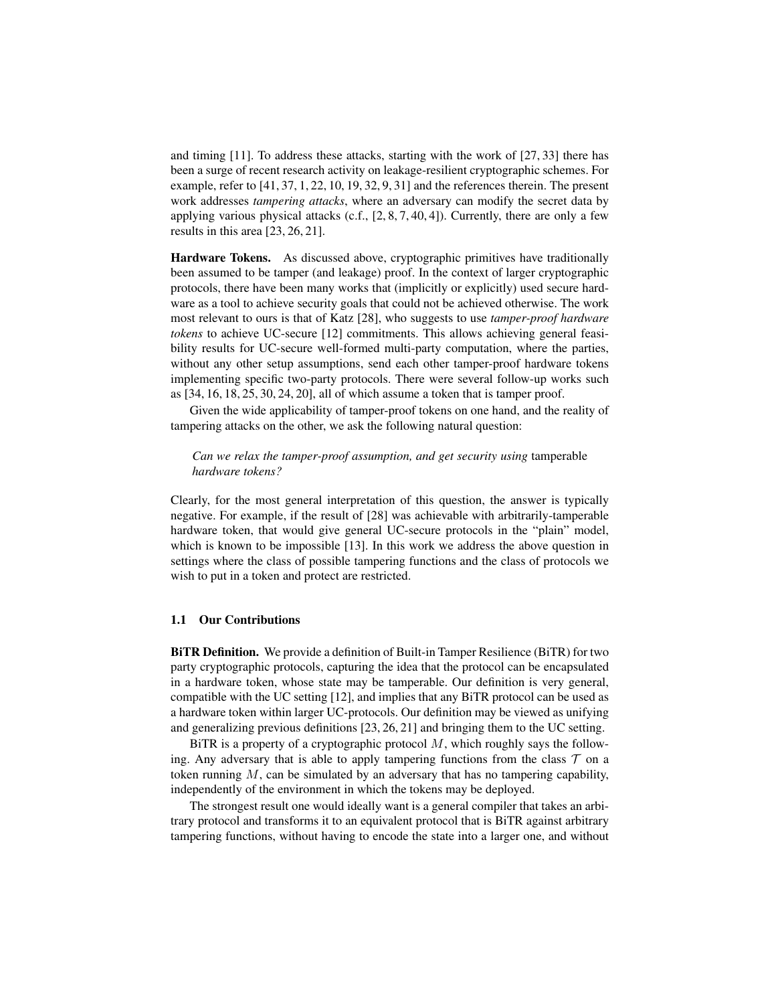and timing [11]. To address these attacks, starting with the work of [27, 33] there has been a surge of recent research activity on leakage-resilient cryptographic schemes. For example, refer to [41, 37, 1, 22, 10, 19, 32, 9, 31] and the references therein. The present work addresses *tampering attacks*, where an adversary can modify the secret data by applying various physical attacks (c.f., [2, 8, 7, 40, 4]). Currently, there are only a few results in this area [23, 26, 21].

Hardware Tokens. As discussed above, cryptographic primitives have traditionally been assumed to be tamper (and leakage) proof. In the context of larger cryptographic protocols, there have been many works that (implicitly or explicitly) used secure hardware as a tool to achieve security goals that could not be achieved otherwise. The work most relevant to ours is that of Katz [28], who suggests to use *tamper-proof hardware tokens* to achieve UC-secure [12] commitments. This allows achieving general feasibility results for UC-secure well-formed multi-party computation, where the parties, without any other setup assumptions, send each other tamper-proof hardware tokens implementing specific two-party protocols. There were several follow-up works such as [34, 16, 18, 25, 30, 24, 20], all of which assume a token that is tamper proof.

Given the wide applicability of tamper-proof tokens on one hand, and the reality of tampering attacks on the other, we ask the following natural question:

# *Can we relax the tamper-proof assumption, and get security using* tamperable *hardware tokens?*

Clearly, for the most general interpretation of this question, the answer is typically negative. For example, if the result of [28] was achievable with arbitrarily-tamperable hardware token, that would give general UC-secure protocols in the "plain" model, which is known to be impossible [13]. In this work we address the above question in settings where the class of possible tampering functions and the class of protocols we wish to put in a token and protect are restricted.

### 1.1 Our Contributions

BiTR Definition. We provide a definition of Built-in Tamper Resilience (BiTR) for two party cryptographic protocols, capturing the idea that the protocol can be encapsulated in a hardware token, whose state may be tamperable. Our definition is very general, compatible with the UC setting [12], and implies that any BiTR protocol can be used as a hardware token within larger UC-protocols. Our definition may be viewed as unifying and generalizing previous definitions [23, 26, 21] and bringing them to the UC setting.

BiTR is a property of a cryptographic protocol  $M$ , which roughly says the following. Any adversary that is able to apply tampering functions from the class  $\mathcal T$  on a token running  $M$ , can be simulated by an adversary that has no tampering capability, independently of the environment in which the tokens may be deployed.

The strongest result one would ideally want is a general compiler that takes an arbitrary protocol and transforms it to an equivalent protocol that is BiTR against arbitrary tampering functions, without having to encode the state into a larger one, and without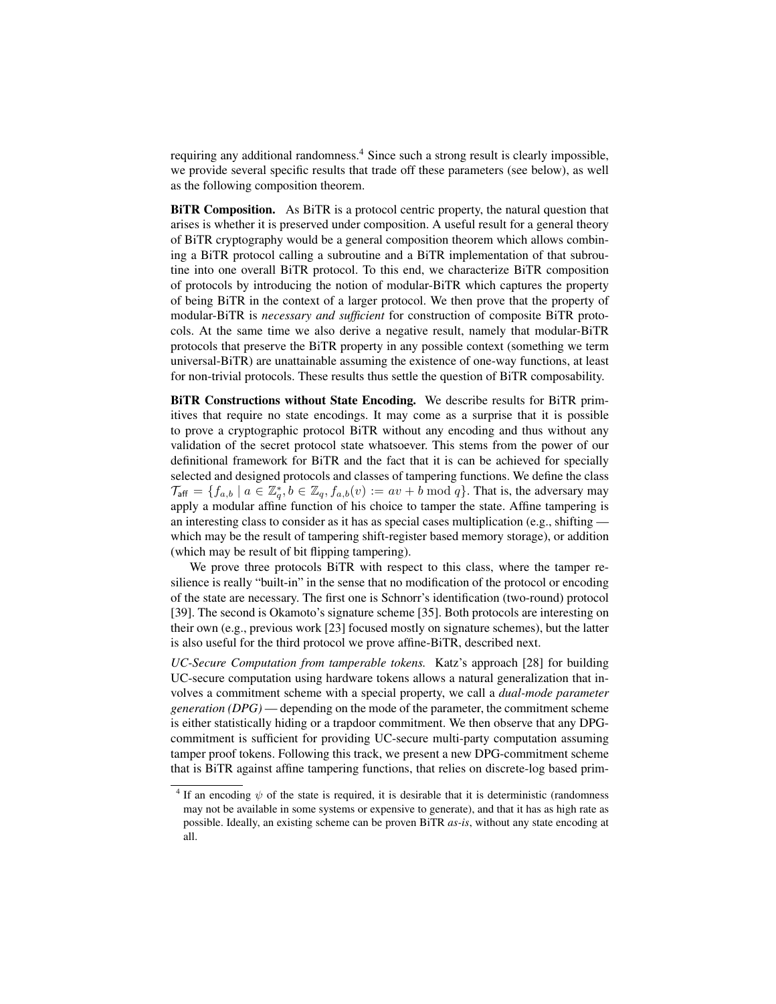requiring any additional randomness.<sup>4</sup> Since such a strong result is clearly impossible, we provide several specific results that trade off these parameters (see below), as well as the following composition theorem.

BiTR Composition. As BiTR is a protocol centric property, the natural question that arises is whether it is preserved under composition. A useful result for a general theory of BiTR cryptography would be a general composition theorem which allows combining a BiTR protocol calling a subroutine and a BiTR implementation of that subroutine into one overall BiTR protocol. To this end, we characterize BiTR composition of protocols by introducing the notion of modular-BiTR which captures the property of being BiTR in the context of a larger protocol. We then prove that the property of modular-BiTR is *necessary and sufficient* for construction of composite BiTR protocols. At the same time we also derive a negative result, namely that modular-BiTR protocols that preserve the BiTR property in any possible context (something we term universal-BiTR) are unattainable assuming the existence of one-way functions, at least for non-trivial protocols. These results thus settle the question of BiTR composability.

BiTR Constructions without State Encoding. We describe results for BiTR primitives that require no state encodings. It may come as a surprise that it is possible to prove a cryptographic protocol BiTR without any encoding and thus without any validation of the secret protocol state whatsoever. This stems from the power of our definitional framework for BiTR and the fact that it is can be achieved for specially selected and designed protocols and classes of tampering functions. We define the class  $\mathcal{T}_{\text{aff}} = \{f_{a,b} \mid a \in \mathbb{Z}_q^*, b \in \mathbb{Z}_q, f_{a,b}(v) := av + b \bmod q\}.$  That is, the adversary may apply a modular affine function of his choice to tamper the state. Affine tampering is an interesting class to consider as it has as special cases multiplication (e.g., shifting which may be the result of tampering shift-register based memory storage), or addition (which may be result of bit flipping tampering).

We prove three protocols BiTR with respect to this class, where the tamper resilience is really "built-in" in the sense that no modification of the protocol or encoding of the state are necessary. The first one is Schnorr's identification (two-round) protocol [39]. The second is Okamoto's signature scheme [35]. Both protocols are interesting on their own (e.g., previous work [23] focused mostly on signature schemes), but the latter is also useful for the third protocol we prove affine-BiTR, described next.

*UC-Secure Computation from tamperable tokens.* Katz's approach [28] for building UC-secure computation using hardware tokens allows a natural generalization that involves a commitment scheme with a special property, we call a *dual-mode parameter generation (DPG)* — depending on the mode of the parameter, the commitment scheme is either statistically hiding or a trapdoor commitment. We then observe that any DPGcommitment is sufficient for providing UC-secure multi-party computation assuming tamper proof tokens. Following this track, we present a new DPG-commitment scheme that is BiTR against affine tampering functions, that relies on discrete-log based prim-

<sup>&</sup>lt;sup>4</sup> If an encoding  $\psi$  of the state is required, it is desirable that it is deterministic (randomness may not be available in some systems or expensive to generate), and that it has as high rate as possible. Ideally, an existing scheme can be proven BiTR *as-is*, without any state encoding at all.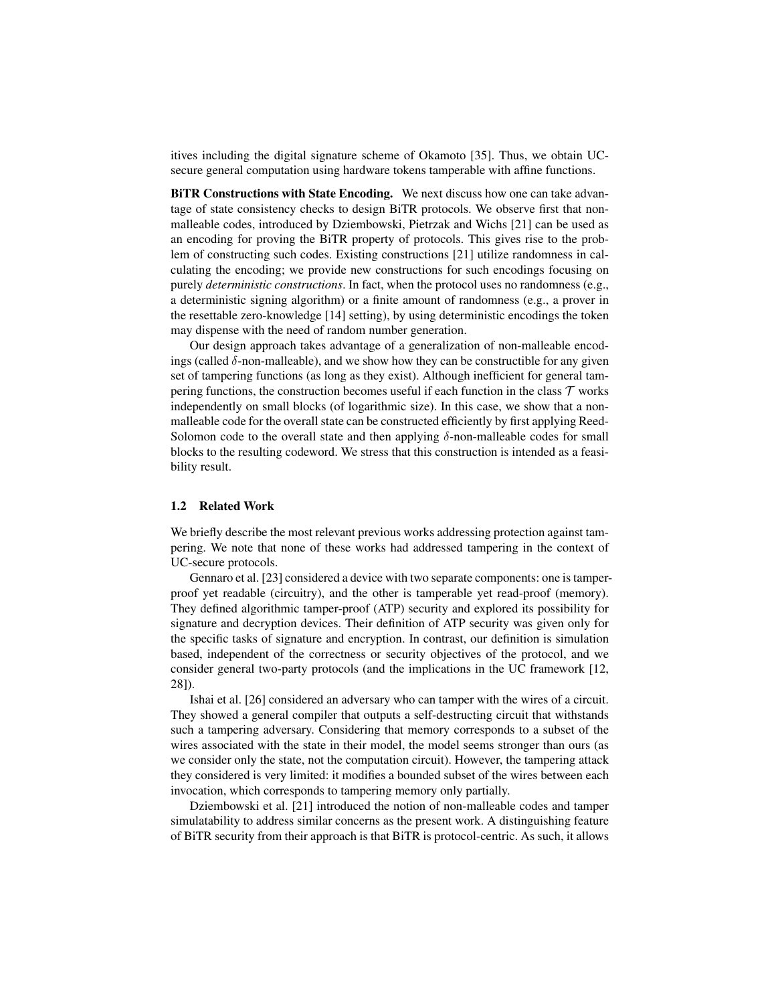itives including the digital signature scheme of Okamoto [35]. Thus, we obtain UCsecure general computation using hardware tokens tamperable with affine functions.

BiTR Constructions with State Encoding. We next discuss how one can take advantage of state consistency checks to design BiTR protocols. We observe first that nonmalleable codes, introduced by Dziembowski, Pietrzak and Wichs [21] can be used as an encoding for proving the BiTR property of protocols. This gives rise to the problem of constructing such codes. Existing constructions [21] utilize randomness in calculating the encoding; we provide new constructions for such encodings focusing on purely *deterministic constructions*. In fact, when the protocol uses no randomness (e.g., a deterministic signing algorithm) or a finite amount of randomness (e.g., a prover in the resettable zero-knowledge [14] setting), by using deterministic encodings the token may dispense with the need of random number generation.

Our design approach takes advantage of a generalization of non-malleable encodings (called  $\delta$ -non-malleable), and we show how they can be constructible for any given set of tampering functions (as long as they exist). Although inefficient for general tampering functions, the construction becomes useful if each function in the class  $\mathcal T$  works independently on small blocks (of logarithmic size). In this case, we show that a nonmalleable code for the overall state can be constructed efficiently by first applying Reed-Solomon code to the overall state and then applying  $\delta$ -non-malleable codes for small blocks to the resulting codeword. We stress that this construction is intended as a feasibility result.

### 1.2 Related Work

We briefly describe the most relevant previous works addressing protection against tampering. We note that none of these works had addressed tampering in the context of UC-secure protocols.

Gennaro et al. [23] considered a device with two separate components: one is tamperproof yet readable (circuitry), and the other is tamperable yet read-proof (memory). They defined algorithmic tamper-proof (ATP) security and explored its possibility for signature and decryption devices. Their definition of ATP security was given only for the specific tasks of signature and encryption. In contrast, our definition is simulation based, independent of the correctness or security objectives of the protocol, and we consider general two-party protocols (and the implications in the UC framework [12, 28]).

Ishai et al. [26] considered an adversary who can tamper with the wires of a circuit. They showed a general compiler that outputs a self-destructing circuit that withstands such a tampering adversary. Considering that memory corresponds to a subset of the wires associated with the state in their model, the model seems stronger than ours (as we consider only the state, not the computation circuit). However, the tampering attack they considered is very limited: it modifies a bounded subset of the wires between each invocation, which corresponds to tampering memory only partially.

Dziembowski et al. [21] introduced the notion of non-malleable codes and tamper simulatability to address similar concerns as the present work. A distinguishing feature of BiTR security from their approach is that BiTR is protocol-centric. As such, it allows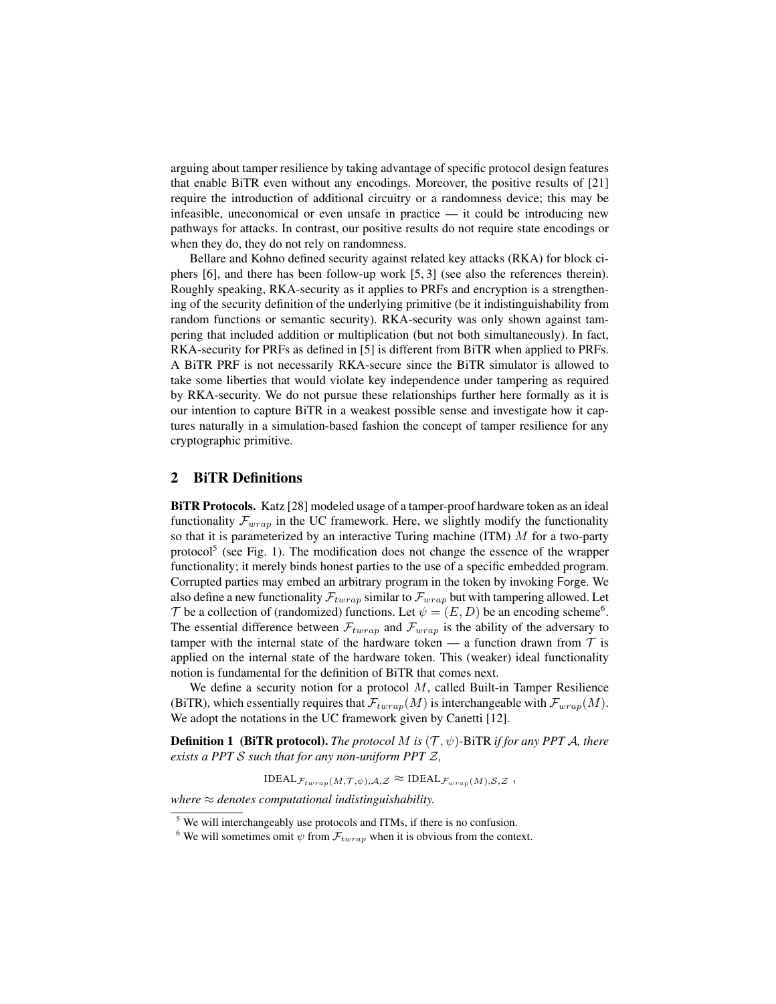arguing about tamper resilience by taking advantage of specific protocol design features that enable BiTR even without any encodings. Moreover, the positive results of [21] require the introduction of additional circuitry or a randomness device; this may be infeasible, uneconomical or even unsafe in practice — it could be introducing new pathways for attacks. In contrast, our positive results do not require state encodings or when they do, they do not rely on randomness.

Bellare and Kohno defined security against related key attacks (RKA) for block ciphers [6], and there has been follow-up work [5, 3] (see also the references therein). Roughly speaking, RKA-security as it applies to PRFs and encryption is a strengthening of the security definition of the underlying primitive (be it indistinguishability from random functions or semantic security). RKA-security was only shown against tampering that included addition or multiplication (but not both simultaneously). In fact, RKA-security for PRFs as defined in [5] is different from BiTR when applied to PRFs. A BiTR PRF is not necessarily RKA-secure since the BiTR simulator is allowed to take some liberties that would violate key independence under tampering as required by RKA-security. We do not pursue these relationships further here formally as it is our intention to capture BiTR in a weakest possible sense and investigate how it captures naturally in a simulation-based fashion the concept of tamper resilience for any cryptographic primitive.

# 2 BiTR Definitions

BiTR Protocols. Katz [28] modeled usage of a tamper-proof hardware token as an ideal functionality  $\mathcal{F}_{wrap}$  in the UC framework. Here, we slightly modify the functionality so that it is parameterized by an interactive Turing machine (ITM) M for a two-party protocol<sup>5</sup> (see Fig. 1). The modification does not change the essence of the wrapper functionality; it merely binds honest parties to the use of a specific embedded program. Corrupted parties may embed an arbitrary program in the token by invoking Forge. We also define a new functionality  $\mathcal{F}_{turnap}$  similar to  $\mathcal{F}_{wrap}$  but with tampering allowed. Let T be a collection of (randomized) functions. Let  $\psi = (E, D)$  be an encoding scheme<sup>6</sup>. The essential difference between  $\mathcal{F}_{twrap}$  and  $\mathcal{F}_{wrap}$  is the ability of the adversary to tamper with the internal state of the hardware token — a function drawn from  $\mathcal T$  is applied on the internal state of the hardware token. This (weaker) ideal functionality notion is fundamental for the definition of BiTR that comes next.

We define a security notion for a protocol M, called Built-in Tamper Resilience (BiTR), which essentially requires that  $\mathcal{F}_{twrap}(M)$  is interchangeable with  $\mathcal{F}_{wrap}(M)$ . We adopt the notations in the UC framework given by Canetti [12].

**Definition 1 (BiTR protocol).** *The protocol M is*  $(\mathcal{T}, \psi)$ -BiTR *if for any PPT A, there exists a PPT* S *such that for any non-uniform PPT* Z*,*

 $\text{IDEAL}_{\mathcal{F}_{turnap}(M, \mathcal{T}, \psi), \mathcal{A}, \mathcal{Z}} \approx \text{IDEAL}_{\mathcal{F}_{wrap}(M), \mathcal{S}, \mathcal{Z}}$ ,

*where*  $\approx$  *denotes computational indistinguishability.* 

 $<sup>5</sup>$  We will interchangeably use protocols and ITMs, if there is no confusion.</sup>

<sup>&</sup>lt;sup>6</sup> We will sometimes omit  $\psi$  from  $\mathcal{F}_{turnap}$  when it is obvious from the context.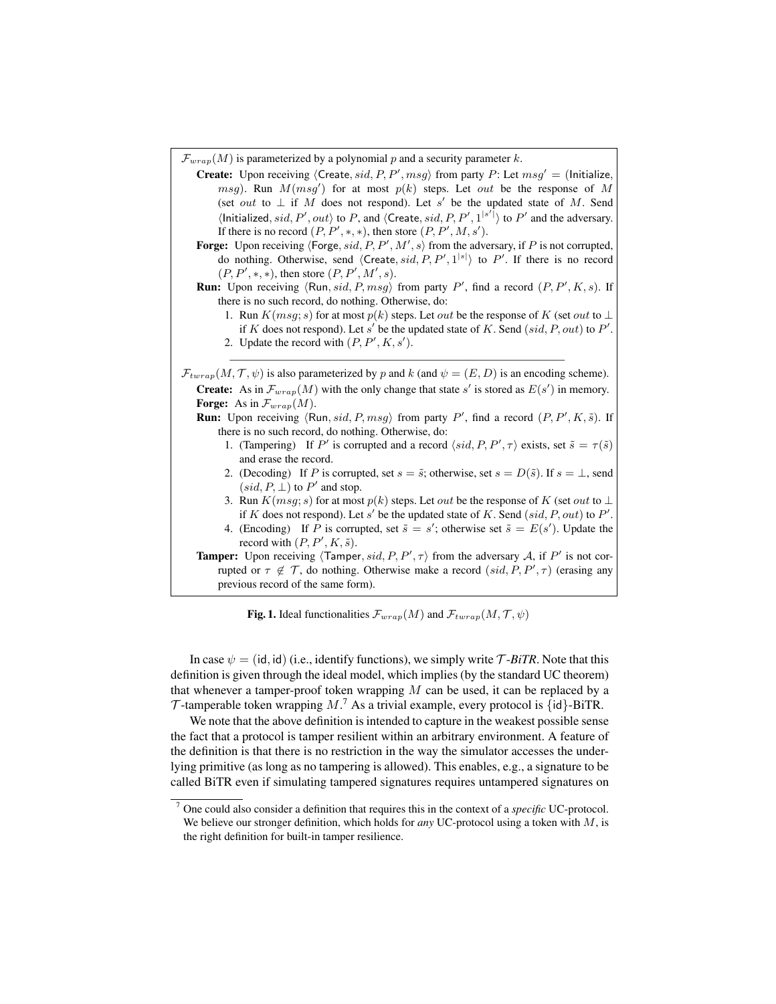$\mathcal{F}_{wrap}(M)$  is parameterized by a polynomial p and a security parameter k.

- **Create:** Upon receiving  $\langle$  Create, sid, P, P', msg $\rangle$  from party P: Let  $msg' =$  (Initialize, msg). Run  $M(msg')$  for at most  $p(k)$  steps. Let out be the response of M (set out to  $\perp$  if M does not respond). Let s' be the updated state of M. Send  $\langle$ Initialized, sid, P', out $\rangle$  to P, and  $\langle$  Create, sid, P, P', 1<sup>|s'|</sup> $\rangle$  to P' and the adversary. If there is no record  $(P, P', *, *),$  then store  $(P, P', M, s')$ .
- Forge: Upon receiving  $\langle$  Forge, sid, P, P', M', s $\rangle$  from the adversary, if P is not corrupted, do nothing. Otherwise, send  $\langle$  Create,  $sid, P, P', 1^{|s|}\rangle$  to  $P'$ . If there is no record  $(P, P', *, *),$  then store  $(P, P', M', s)$ .
- **Run:** Upon receiving  $\langle$ Run, sid, P, msg $\rangle$  from party P', find a record  $(P, P', K, s)$ . If there is no such record, do nothing. Otherwise, do:
	- 1. Run  $K(msg; s)$  for at most  $p(k)$  steps. Let *out* be the response of K (set *out* to ⊥ if K does not respond). Let s' be the updated state of K. Send  $(sid, P, out)$  to P'. 2. Update the record with  $(P, P', K, s')$ .

 $\mathcal{F}_{turnap}(M, \mathcal{T}, \psi)$  is also parameterized by p and k (and  $\psi = (E, D)$  is an encoding scheme). **Create:** As in  $\mathcal{F}_{wrap}(M)$  with the only change that state s' is stored as  $E(s')$  in memory. Forge: As in  $\mathcal{F}_{wrap}(M)$ .

—————————————————————————————–

- **Run:** Upon receiving  $\langle$ Run, sid, P, msg $\rangle$  from party P', find a record  $(P, P', K, \tilde{s})$ . If there is no such record, do nothing. Otherwise, do:
	- 1. (Tampering) If P' is corrupted and a record  $\langle sid, P, P', \tau \rangle$  exists, set  $\tilde{s} = \tau(\tilde{s})$ and erase the record.
	- 2. (Decoding) If P is corrupted, set  $s = \tilde{s}$ ; otherwise, set  $s = D(\tilde{s})$ . If  $s = \perp$ , send  $(sid, P, \perp)$  to P' and stop.
	- 3. Run  $K(msg; s)$  for at most  $p(k)$  steps. Let *out* be the response of K (set *out* to ⊥ if K does not respond). Let s' be the updated state of K. Send (sid, P, out) to P'.
	- 4. (Encoding) If P is corrupted, set  $\tilde{s} = s'$ ; otherwise set  $\tilde{s} = E(s')$ . Update the record with  $(P, P', K, \tilde{s})$ .

**Tamper:** Upon receiving  $\langle$ Tamper, sid, P, P',  $\tau$ ) from the adversary A, if P' is not corrupted or  $\tau \notin \mathcal{T}$ , do nothing. Otherwise make a record  $(sid, P, P', \tau)$  (erasing any previous record of the same form).

Fig. 1. Ideal functionalities  $\mathcal{F}_{wrap}(M)$  and  $\mathcal{F}_{twrap}(M, \mathcal{T}, \psi)$ 

In case  $\psi = (\text{id}, \text{id})$  (i.e., identify functions), we simply write  $\mathcal{T}\text{-}BiTR$ . Note that this definition is given through the ideal model, which implies (by the standard UC theorem) that whenever a tamper-proof token wrapping  $M$  can be used, it can be replaced by a  $\mathcal T$ -tamperable token wrapping  $M$ .<sup>7</sup> As a trivial example, every protocol is {id}-BiTR.

We note that the above definition is intended to capture in the weakest possible sense the fact that a protocol is tamper resilient within an arbitrary environment. A feature of the definition is that there is no restriction in the way the simulator accesses the underlying primitive (as long as no tampering is allowed). This enables, e.g., a signature to be called BiTR even if simulating tampered signatures requires untampered signatures on

<sup>7</sup> One could also consider a definition that requires this in the context of a *specific* UC-protocol. We believe our stronger definition, which holds for *any* UC-protocol using a token with M, is the right definition for built-in tamper resilience.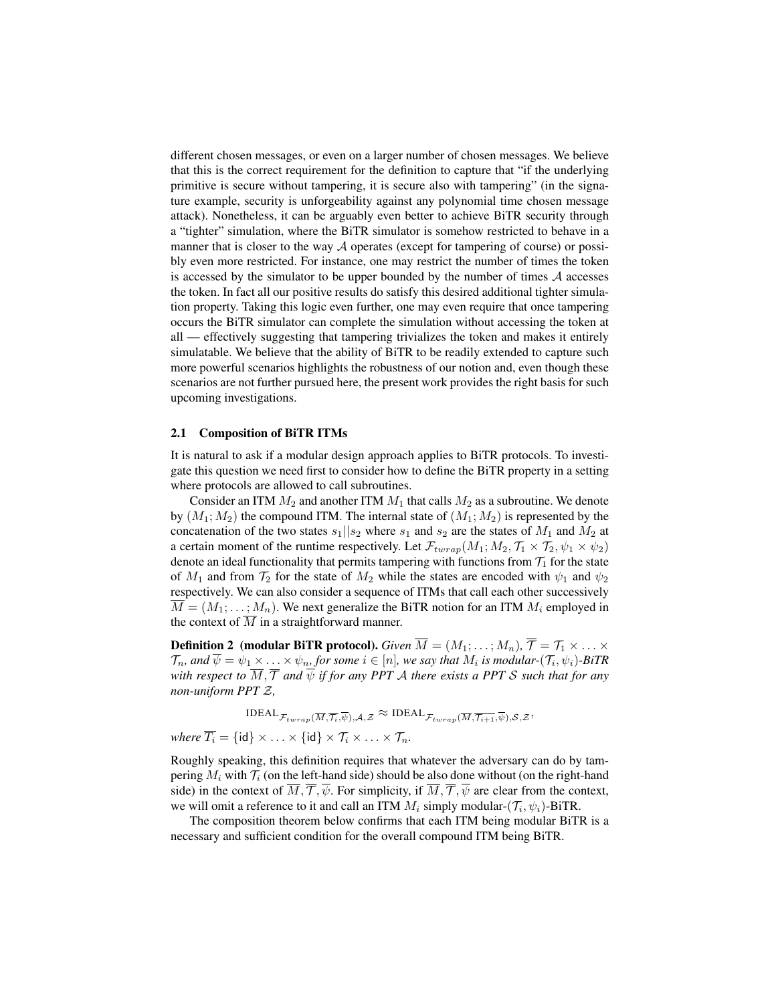different chosen messages, or even on a larger number of chosen messages. We believe that this is the correct requirement for the definition to capture that "if the underlying primitive is secure without tampering, it is secure also with tampering" (in the signature example, security is unforgeability against any polynomial time chosen message attack). Nonetheless, it can be arguably even better to achieve BiTR security through a "tighter" simulation, where the BiTR simulator is somehow restricted to behave in a manner that is closer to the way A operates (except for tampering of course) or possibly even more restricted. For instance, one may restrict the number of times the token is accessed by the simulator to be upper bounded by the number of times  $A$  accesses the token. In fact all our positive results do satisfy this desired additional tighter simulation property. Taking this logic even further, one may even require that once tampering occurs the BiTR simulator can complete the simulation without accessing the token at all — effectively suggesting that tampering trivializes the token and makes it entirely simulatable. We believe that the ability of BiTR to be readily extended to capture such more powerful scenarios highlights the robustness of our notion and, even though these scenarios are not further pursued here, the present work provides the right basis for such upcoming investigations.

#### 2.1 Composition of BiTR ITMs

It is natural to ask if a modular design approach applies to BiTR protocols. To investigate this question we need first to consider how to define the BiTR property in a setting where protocols are allowed to call subroutines.

Consider an ITM  $M_2$  and another ITM  $M_1$  that calls  $M_2$  as a subroutine. We denote by  $(M_1; M_2)$  the compound ITM. The internal state of  $(M_1; M_2)$  is represented by the concatenation of the two states  $s_1||s_2$  where  $s_1$  and  $s_2$  are the states of  $M_1$  and  $M_2$  at a certain moment of the runtime respectively. Let  $\mathcal{F}_{twinap}(M_1; M_2, \mathcal{T}_1 \times \mathcal{T}_2, \psi_1 \times \psi_2)$ denote an ideal functionality that permits tampering with functions from  $\mathcal{T}_1$  for the state of  $M_1$  and from  $\mathcal{T}_2$  for the state of  $M_2$  while the states are encoded with  $\psi_1$  and  $\psi_2$ respectively. We can also consider a sequence of ITMs that call each other successively  $\overline{M} = (M_1; \dots; M_n)$ . We next generalize the BiTR notion for an ITM  $M_i$  employed in the context of  $\overline{M}$  in a straightforward manner.

**Definition 2** (modular BiTR protocol). *Given*  $\overline{M} = (M_1; \ldots; M_n)$ ,  $\overline{T} = T_1 \times \ldots \times T_n$  $\mathcal{T}_n$ , and  $\overline{\psi}=\psi_1\times\ldots\times\psi_n$  for some  $i\in [n]$ , we say that  $M_i$  is modular- $(\mathcal{T}_i,\psi_i)$ -BiTR *with respect to*  $\overline{M}$ ,  $\overline{T}$  *and*  $\overline{\psi}$  *if for any PPT A there exists a PPT S such that for any non-uniform PPT* Z*,*

$$
\text{IDEAL}_{\mathcal{F}_{twrap}(\overline{M}, \overline{\mathcal{T}_i}, \overline{\psi}), \mathcal{A}, \mathcal{Z}} \approx \text{IDEAL}_{\mathcal{F}_{twrap}(\overline{M}, \overline{\mathcal{T}_{i+1}}, \overline{\psi}), \mathcal{S}, \mathcal{Z}},
$$
  
where  $\overline{T_i} = \{\text{id}\} \times \ldots \times \{\text{id}\} \times \mathcal{T}_i \times \ldots \times \mathcal{T}_n.$ 

Roughly speaking, this definition requires that whatever the adversary can do by tampering  $M_i$  with  $\mathcal{T}_i$  (on the left-hand side) should be also done without (on the right-hand side) in the context of  $\overline{M}, \overline{\mathcal{T}}, \overline{\psi}$ . For simplicity, if  $\overline{M}, \overline{\mathcal{T}}, \overline{\psi}$  are clear from the context, we will omit a reference to it and call an ITM  $M_i$  simply modular- $(\mathcal{T}_i, \psi_i)$ -BiTR.

The composition theorem below confirms that each ITM being modular BiTR is a necessary and sufficient condition for the overall compound ITM being BiTR.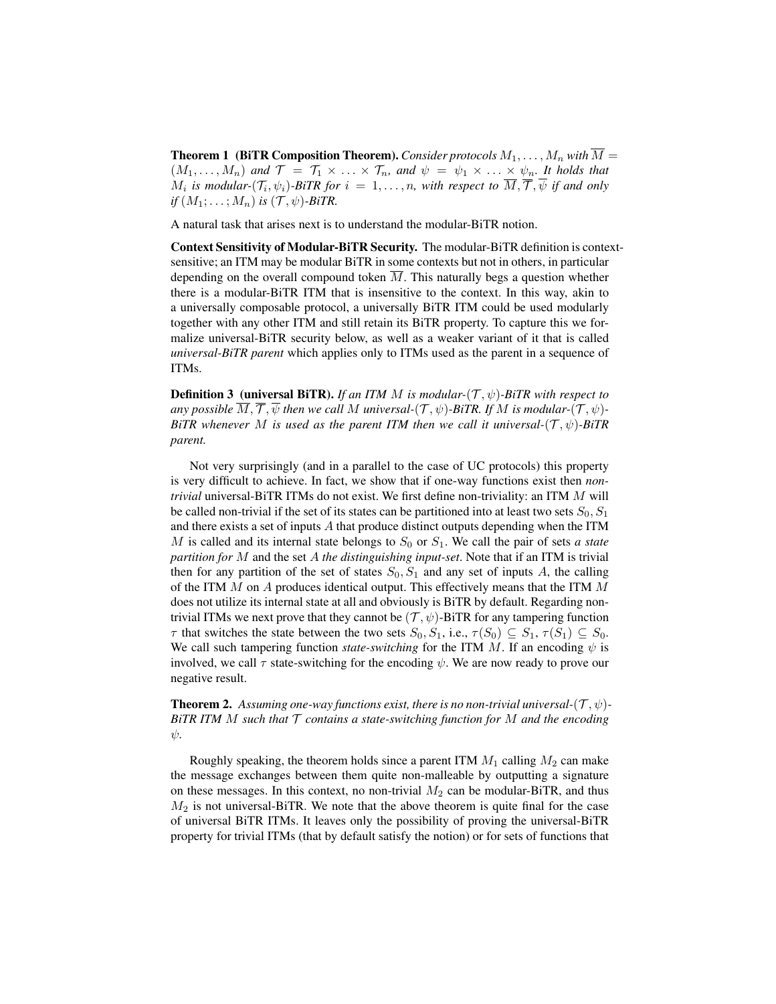**Theorem 1** (BiTR Composition Theorem). *Consider protocols*  $M_1, \ldots, M_n$  with  $\overline{M} =$  $(M_1, \ldots, M_n)$  and  $\mathcal{T} = \mathcal{T}_1 \times \ldots \times \mathcal{T}_n$ , and  $\psi = \psi_1 \times \ldots \times \psi_n$ . It holds that  $M_i$  is modular- $(\mathcal{T}_i, \psi_i)$ -BiTR for  $i = 1, \ldots, n$ , with respect to  $M, \mathcal{T}, \psi$  if and only *if*  $(M_1; \ldots; M_n)$  *is*  $(\mathcal{T}, \psi)$ *-BiTR.* 

A natural task that arises next is to understand the modular-BiTR notion.

Context Sensitivity of Modular-BiTR Security. The modular-BiTR definition is contextsensitive; an ITM may be modular BiTR in some contexts but not in others, in particular depending on the overall compound token  $\overline{M}$ . This naturally begs a question whether there is a modular-BiTR ITM that is insensitive to the context. In this way, akin to a universally composable protocol, a universally BiTR ITM could be used modularly together with any other ITM and still retain its BiTR property. To capture this we formalize universal-BiTR security below, as well as a weaker variant of it that is called *universal-BiTR parent* which applies only to ITMs used as the parent in a sequence of ITMs.

Definition 3 (universal BiTR). *If an ITM* M *is modular-*(T , ψ)*-BiTR with respect to any possible*  $\overline{M}$ ,  $\overline{T}$ ,  $\overline{\psi}$  *then we call* M *universal-*( $\mathcal{T}$ ,  $\psi$ )*-BiTR. If* M *is modular-*( $\mathcal{T}$ ,  $\psi$ )*-BiTR whenever* M *is used as the parent ITM then we call it universal-* $(\mathcal{T}, \psi)$ *-BiTR parent.*

Not very surprisingly (and in a parallel to the case of UC protocols) this property is very difficult to achieve. In fact, we show that if one-way functions exist then *nontrivial* universal-BiTR ITMs do not exist. We first define non-triviality: an ITM M will be called non-trivial if the set of its states can be partitioned into at least two sets  $S_0$ ,  $S_1$ and there exists a set of inputs A that produce distinct outputs depending when the ITM M is called and its internal state belongs to  $S_0$  or  $S_1$ . We call the pair of sets *a state partition for* M and the set A *the distinguishing input-set*. Note that if an ITM is trivial then for any partition of the set of states  $S_0, S_1$  and any set of inputs A, the calling of the ITM  $M$  on  $A$  produces identical output. This effectively means that the ITM  $M$ does not utilize its internal state at all and obviously is BiTR by default. Regarding nontrivial ITMs we next prove that they cannot be  $(\mathcal{T}, \psi)$ -BiTR for any tampering function  $\tau$  that switches the state between the two sets  $S_0, S_1$ , i.e.,  $\tau(S_0) \subseteq S_1$ ,  $\tau(S_1) \subseteq S_0$ . We call such tampering function *state-switching* for the ITM M. If an encoding  $\psi$  is involved, we call  $\tau$  state-switching for the encoding  $\psi$ . We are now ready to prove our negative result.

**Theorem 2.** Assuming one-way functions exist, there is no non-trivial universal- $(\mathcal{T}, \psi)$ -*BiTR ITM* M *such that* T *contains a state-switching function for* M *and the encoding* ψ*.*

Roughly speaking, the theorem holds since a parent ITM  $M_1$  calling  $M_2$  can make the message exchanges between them quite non-malleable by outputting a signature on these messages. In this context, no non-trivial  $M_2$  can be modular-BiTR, and thus  $M_2$  is not universal-BiTR. We note that the above theorem is quite final for the case of universal BiTR ITMs. It leaves only the possibility of proving the universal-BiTR property for trivial ITMs (that by default satisfy the notion) or for sets of functions that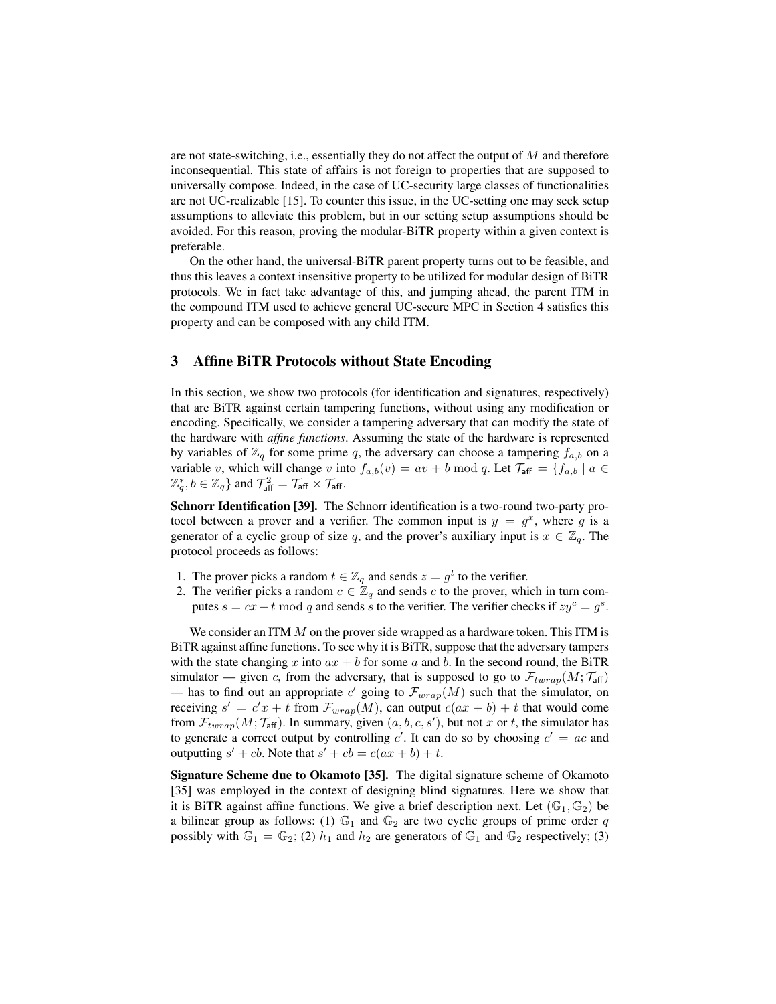are not state-switching, i.e., essentially they do not affect the output of  $M$  and therefore inconsequential. This state of affairs is not foreign to properties that are supposed to universally compose. Indeed, in the case of UC-security large classes of functionalities are not UC-realizable [15]. To counter this issue, in the UC-setting one may seek setup assumptions to alleviate this problem, but in our setting setup assumptions should be avoided. For this reason, proving the modular-BiTR property within a given context is preferable.

On the other hand, the universal-BiTR parent property turns out to be feasible, and thus this leaves a context insensitive property to be utilized for modular design of BiTR protocols. We in fact take advantage of this, and jumping ahead, the parent ITM in the compound ITM used to achieve general UC-secure MPC in Section 4 satisfies this property and can be composed with any child ITM.

# 3 Affine BiTR Protocols without State Encoding

In this section, we show two protocols (for identification and signatures, respectively) that are BiTR against certain tampering functions, without using any modification or encoding. Specifically, we consider a tampering adversary that can modify the state of the hardware with *affine functions*. Assuming the state of the hardware is represented by variables of  $\mathbb{Z}_q$  for some prime q, the adversary can choose a tampering  $f_{a,b}$  on a variable v, which will change v into  $f_{a,b}(v) = av + b \mod q$ . Let  $\mathcal{T}_{\text{aff}} = \{f_{a,b} \mid a \in$  $\mathbb{Z}_q^*, b \in \mathbb{Z}_q$  and  $\mathcal{T}_{\mathsf{aff}}^2 = \mathcal{T}_{\mathsf{aff}} \times \mathcal{T}_{\mathsf{aff}}$ .

Schnorr Identification [39]. The Schnorr identification is a two-round two-party protocol between a prover and a verifier. The common input is  $y = g^x$ , where g is a generator of a cyclic group of size q, and the prover's auxiliary input is  $x \in \mathbb{Z}_q$ . The protocol proceeds as follows:

- 1. The prover picks a random  $t \in \mathbb{Z}_q$  and sends  $z = g^t$  to the verifier.
- 2. The verifier picks a random  $c \in \mathbb{Z}_q$  and sends c to the prover, which in turn computes  $s = cx + t \mod q$  and sends s to the verifier. The verifier checks if  $zy^c = g^s$ .

We consider an ITM M on the prover side wrapped as a hardware token. This ITM is BiTR against affine functions. To see why it is BiTR, suppose that the adversary tampers with the state changing x into  $ax + b$  for some a and b. In the second round, the BiTR simulator — given c, from the adversary, that is supposed to go to  $\mathcal{F}_{turnap}(M; \mathcal{T}_{aff})$ — has to find out an appropriate c' going to  $\mathcal{F}_{wrap}(M)$  such that the simulator, on receiving  $s' = c'x + t$  from  $\mathcal{F}_{wrap}(M)$ , can output  $c(ax + b) + t$  that would come from  $\mathcal{F}_{turn}(M; \mathcal{T}_{aff})$ . In summary, given  $(a, b, c, s')$ , but not x or t, the simulator has to generate a correct output by controlling  $c'$ . It can do so by choosing  $c' = ac$  and outputting  $s' + cb$ . Note that  $s' + cb = c(ax + b) + t$ .

Signature Scheme due to Okamoto [35]. The digital signature scheme of Okamoto [35] was employed in the context of designing blind signatures. Here we show that it is BiTR against affine functions. We give a brief description next. Let  $(\mathbb{G}_1, \mathbb{G}_2)$  be a bilinear group as follows: (1)  $\mathbb{G}_1$  and  $\mathbb{G}_2$  are two cyclic groups of prime order q possibly with  $\mathbb{G}_1 = \mathbb{G}_2$ ; (2)  $h_1$  and  $h_2$  are generators of  $\mathbb{G}_1$  and  $\mathbb{G}_2$  respectively; (3)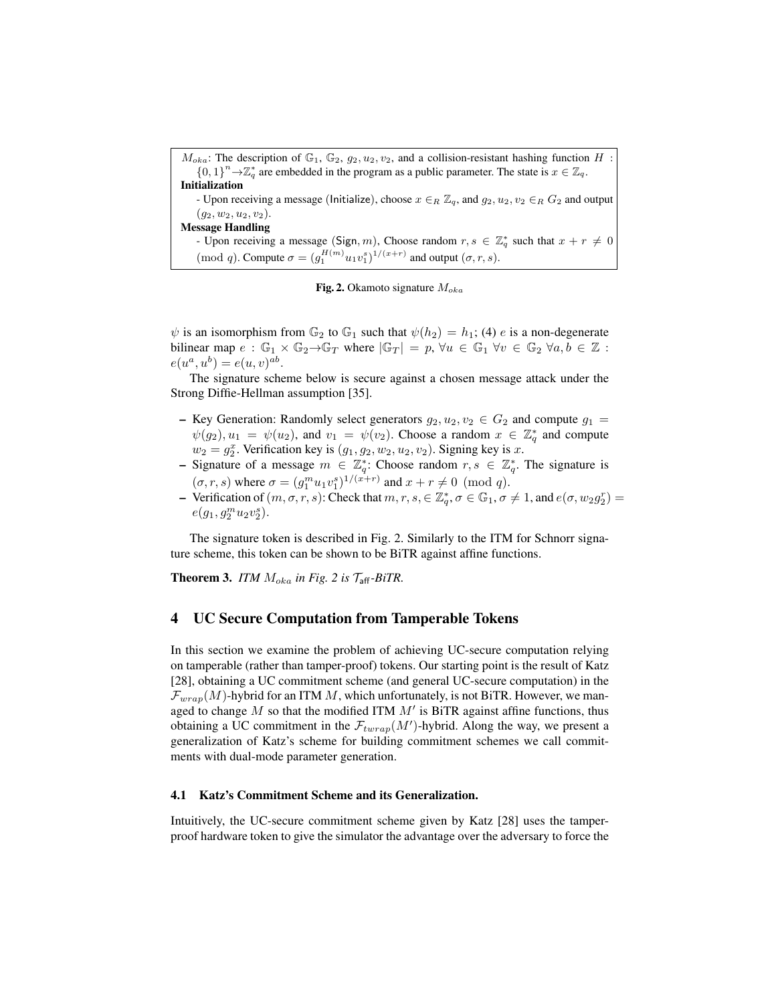$M_{oka}$ : The description of  $\mathbb{G}_1$ ,  $\mathbb{G}_2$ ,  $g_2, u_2, v_2$ , and a collision-resistant hashing function  $H$ :  $\{0,1\}^n \rightarrow \mathbb{Z}_q^*$  are embedded in the program as a public parameter. The state is  $x \in \mathbb{Z}_q$ . Initialization - Upon receiving a message (Initialize), choose  $x \in_R \mathbb{Z}_q$ , and  $g_2, u_2, v_2 \in_R G_2$  and output  $(q_2, w_2, u_2, v_2).$ Message Handling - Upon receiving a message (Sign, m), Choose random  $r, s \in \mathbb{Z}_q^*$  such that  $x + r \neq 0$ (mod q). Compute  $\sigma = (g_1^{H(m)} u_1 v_1^s)^{1/(x+r)}$  and output  $(\sigma, r, s)$ .

Fig. 2. Okamoto signature  $M_{oka}$ 

 $\psi$  is an isomorphism from  $\mathbb{G}_2$  to  $\mathbb{G}_1$  such that  $\psi(h_2) = h_1$ ; (4) e is a non-degenerate bilinear map  $e : \mathbb{G}_1 \times \mathbb{G}_2 \rightarrow \mathbb{G}_T$  where  $|\mathbb{G}_T| = p$ ,  $\forall u \in \mathbb{G}_1 \ \forall v \in \mathbb{G}_2 \ \forall a, b \in \mathbb{Z}$ :  $e(u^{a}, u^{b}) = e(u, v)^{ab}.$ 

The signature scheme below is secure against a chosen message attack under the Strong Diffie-Hellman assumption [35].

- Key Generation: Randomly select generators  $g_2, u_2, v_2 \in G_2$  and compute  $g_1$  $\psi(g_2), u_1 = \psi(u_2)$ , and  $v_1 = \psi(v_2)$ . Choose a random  $x \in \mathbb{Z}_q^*$  and compute  $w_2 = g_2^x$ . Verification key is  $(g_1, g_2, w_2, u_2, v_2)$ . Signing key is x.
- Signature of a message  $m \text{ ∈ } \mathbb{Z}_q^*$ : Choose random  $r, s \text{ ∈ } \mathbb{Z}_q^*$ . The signature is  $(\sigma, r, s)$  where  $\sigma = (g_1^m u_1 v_1^s)^{1/(x+r)}$  and  $x + r \neq 0 \pmod{q}$ .
- Verification of  $(m, \sigma, r, s)$ : Check that  $m, r, s \in \mathbb{Z}_q^*, \sigma \in \mathbb{G}_1, \sigma \neq 1$ , and  $e(\sigma, w_2 g_2^r)$  $e(g_1, g_2^m u_2 v_2^s).$

The signature token is described in Fig. 2. Similarly to the ITM for Schnorr signature scheme, this token can be shown to be BiTR against affine functions.

**Theorem 3.** *ITM*  $M_{oka}$  *in Fig. 2 is*  $\mathcal{T}_{aff}$ *-BiTR.* 

# 4 UC Secure Computation from Tamperable Tokens

In this section we examine the problem of achieving UC-secure computation relying on tamperable (rather than tamper-proof) tokens. Our starting point is the result of Katz [28], obtaining a UC commitment scheme (and general UC-secure computation) in the  $\mathcal{F}_{wrap}(M)$ -hybrid for an ITM M, which unfortunately, is not BiTR. However, we managed to change  $M$  so that the modified ITM  $M'$  is BiTR against affine functions, thus obtaining a UC commitment in the  $\mathcal{F}_{twrap}(M')$ -hybrid. Along the way, we present a generalization of Katz's scheme for building commitment schemes we call commitments with dual-mode parameter generation.

#### 4.1 Katz's Commitment Scheme and its Generalization.

Intuitively, the UC-secure commitment scheme given by Katz [28] uses the tamperproof hardware token to give the simulator the advantage over the adversary to force the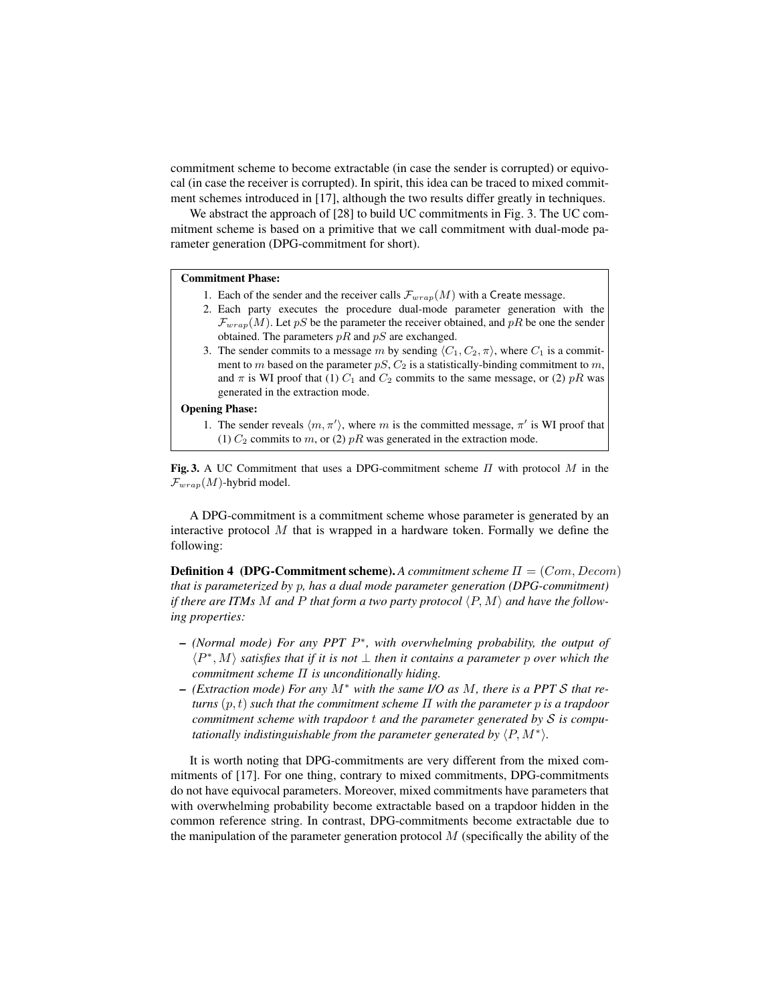commitment scheme to become extractable (in case the sender is corrupted) or equivocal (in case the receiver is corrupted). In spirit, this idea can be traced to mixed commitment schemes introduced in [17], although the two results differ greatly in techniques.

We abstract the approach of [28] to build UC commitments in Fig. 3. The UC commitment scheme is based on a primitive that we call commitment with dual-mode parameter generation (DPG-commitment for short).

## Commitment Phase:

- 1. Each of the sender and the receiver calls  $\mathcal{F}_{wrap}(M)$  with a Create message.
- 2. Each party executes the procedure dual-mode parameter generation with the  $\mathcal{F}_{wran}(M)$ . Let pS be the parameter the receiver obtained, and pR be one the sender obtained. The parameters  $pR$  and  $pS$  are exchanged.
- 3. The sender commits to a message m by sending  $\langle C_1, C_2, \pi \rangle$ , where  $C_1$  is a commitment to m based on the parameter  $pS$ ,  $C_2$  is a statistically-binding commitment to m, and  $\pi$  is WI proof that (1)  $C_1$  and  $C_2$  commits to the same message, or (2) pR was generated in the extraction mode.

### Opening Phase:

1. The sender reveals  $\langle m, \pi' \rangle$ , where m is the committed message,  $\pi'$  is WI proof that (1)  $C_2$  commits to m, or (2) pR was generated in the extraction mode.

Fig. 3. A UC Commitment that uses a DPG-commitment scheme  $\Pi$  with protocol  $M$  in the  $\mathcal{F}_{wrap}(M)$ -hybrid model.

A DPG-commitment is a commitment scheme whose parameter is generated by an interactive protocol  $M$  that is wrapped in a hardware token. Formally we define the following:

Definition 4 (DPG-Commitment scheme). *A commitment scheme* Π = (Com, Decom) *that is parameterized by* p*, has a dual mode parameter generation (DPG-commitment) if there are ITMs M and P that form a two party protocol*  $\langle P, M \rangle$  *and have the following properties:*

- *(Normal mode) For any PPT* P ∗ *, with overwhelming probability, the output of*  $\langle P^*, M \rangle$  *satisfies that if it is not* ⊥ *then it contains a parameter* p *over which the commitment scheme* Π *is unconditionally hiding.*
- *(Extraction mode) For any* M<sup>∗</sup> *with the same I/O as* M*, there is a PPT* S *that returns* (p, t) *such that the commitment scheme* Π *with the parameter* p *is a trapdoor commitment scheme with trapdoor* t *and the parameter generated by* S *is computationally indistinguishable from the parameter generated by*  $\langle P, M^* \rangle$ *.*

It is worth noting that DPG-commitments are very different from the mixed commitments of [17]. For one thing, contrary to mixed commitments, DPG-commitments do not have equivocal parameters. Moreover, mixed commitments have parameters that with overwhelming probability become extractable based on a trapdoor hidden in the common reference string. In contrast, DPG-commitments become extractable due to the manipulation of the parameter generation protocol  $M$  (specifically the ability of the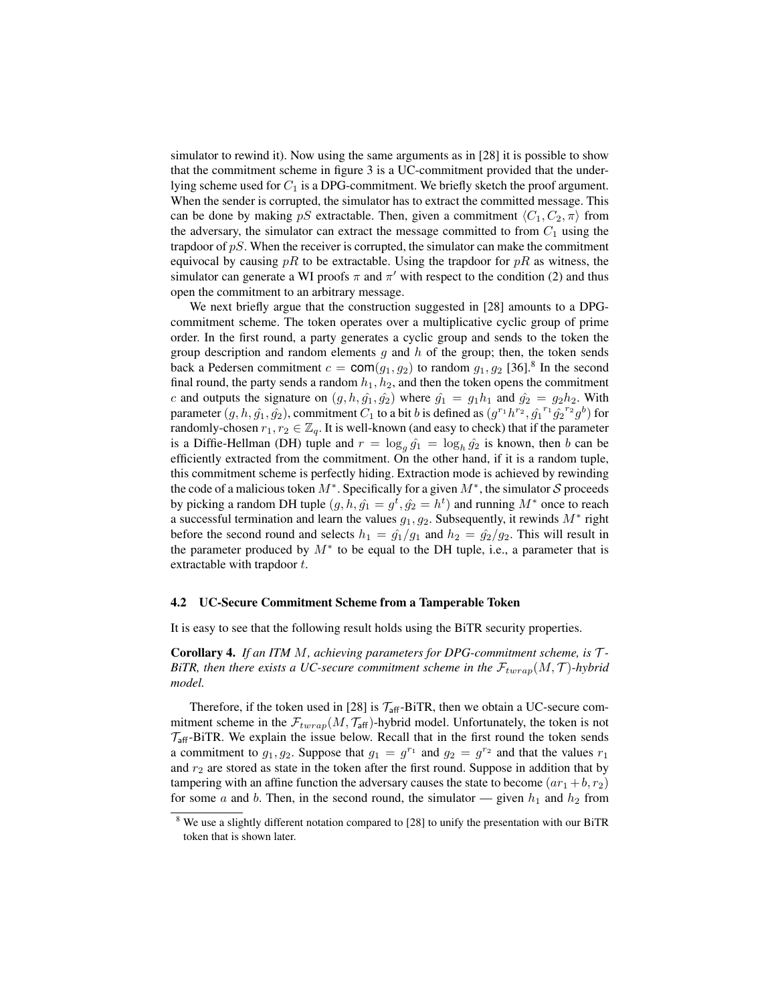simulator to rewind it). Now using the same arguments as in [28] it is possible to show that the commitment scheme in figure 3 is a UC-commitment provided that the underlying scheme used for  $C_1$  is a DPG-commitment. We briefly sketch the proof argument. When the sender is corrupted, the simulator has to extract the committed message. This can be done by making pS extractable. Then, given a commitment  $\langle C_1, C_2, \pi \rangle$  from the adversary, the simulator can extract the message committed to from  $C_1$  using the trapdoor of  $pS$ . When the receiver is corrupted, the simulator can make the commitment equivocal by causing  $pR$  to be extractable. Using the trapdoor for  $pR$  as witness, the simulator can generate a WI proofs  $\pi$  and  $\pi'$  with respect to the condition (2) and thus open the commitment to an arbitrary message.

We next briefly argue that the construction suggested in [28] amounts to a DPGcommitment scheme. The token operates over a multiplicative cyclic group of prime order. In the first round, a party generates a cyclic group and sends to the token the group description and random elements  $g$  and  $h$  of the group; then, the token sends back a Pedersen commitment  $c = \text{com}(g_1, g_2)$  to random  $g_1, g_2$  [36].<sup>8</sup> In the second final round, the party sends a random  $h_1, h_2$ , and then the token opens the commitment c and outputs the signature on  $(g, h, \hat{g}_1, \hat{g}_2)$  where  $\hat{g}_1 = g_1 h_1$  and  $\hat{g}_2 = g_2 h_2$ . With parameter  $(g, h, \hat{g_1}, \hat{g_2})$ , commitment  $C_1$  to a bit b is defined as  $(g^{r_1}h^{r_2}, \hat{g_1}^{r_1}\hat{g_2}^{r_2}g^b)$  for randomly-chosen  $r_1, r_2 \in \mathbb{Z}_q$ . It is well-known (and easy to check) that if the parameter is a Diffie-Hellman (DH) tuple and  $r = \log_g \hat{g}_1 = \log_h \hat{g}_2$  is known, then b can be efficiently extracted from the commitment. On the other hand, if it is a random tuple, this commitment scheme is perfectly hiding. Extraction mode is achieved by rewinding the code of a malicious token  $M^*$ . Specifically for a given  $M^*$ , the simulator S proceeds by picking a random DH tuple  $(g, h, \hat{g}_1 = g^t, \hat{g}_2 = h^t)$  and running  $M^*$  once to reach a successful termination and learn the values  $g_1, g_2$ . Subsequently, it rewinds  $M^*$  right before the second round and selects  $h_1 = \hat{g}_1/g_1$  and  $h_2 = \hat{g}_2/g_2$ . This will result in the parameter produced by  $M^*$  to be equal to the DH tuple, i.e., a parameter that is extractable with trapdoor  $t$ .

### 4.2 UC-Secure Commitment Scheme from a Tamperable Token

It is easy to see that the following result holds using the BiTR security properties.

Corollary 4. *If an ITM* M*, achieving parameters for DPG-commitment scheme, is* T *- BiTR, then there exists a UC-secure commitment scheme in the*  $\mathcal{F}_{twrap}(M, \mathcal{T})$ *-hybrid model.*

Therefore, if the token used in [28] is  $\mathcal{T}_{\text{aff}}$ -BiTR, then we obtain a UC-secure commitment scheme in the  $\mathcal{F}_{turnap}(M, \mathcal{T}_{aff})$ -hybrid model. Unfortunately, the token is not  $\mathcal{T}_{\text{aff}}$ -BiTR. We explain the issue below. Recall that in the first round the token sends a commitment to  $g_1, g_2$ . Suppose that  $g_1 = g^{r_1}$  and  $g_2 = g^{r_2}$  and that the values  $r_1$ and  $r_2$  are stored as state in the token after the first round. Suppose in addition that by tampering with an affine function the adversary causes the state to become  $(ar_1 +b, r_2)$ for some a and b. Then, in the second round, the simulator — given  $h_1$  and  $h_2$  from

<sup>&</sup>lt;sup>8</sup> We use a slightly different notation compared to [28] to unify the presentation with our BiTR token that is shown later.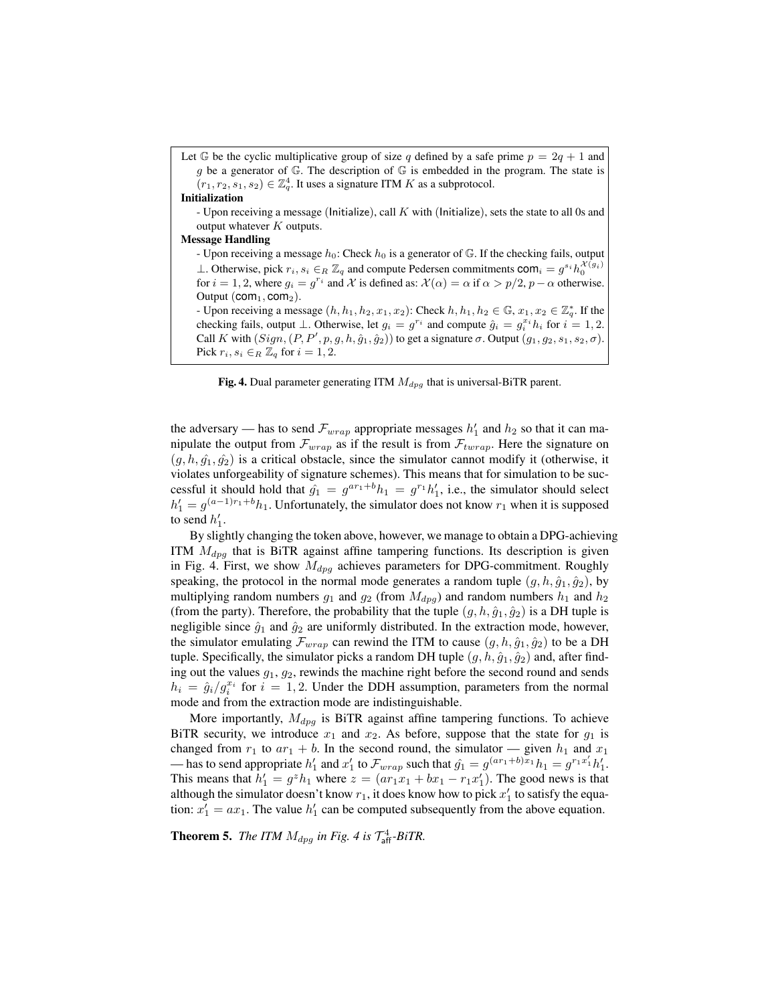Let  $\mathbb G$  be the cyclic multiplicative group of size q defined by a safe prime  $p = 2q + 1$  and g be a generator of  $\mathbb{G}$ . The description of  $\mathbb{G}$  is embedded in the program. The state is  $(r_1, r_2, s_1, s_2) \in \mathbb{Z}_q^4$ . It uses a signature ITM K as a subprotocol. Initialization

- Upon receiving a message (Initialize), call  $K$  with (Initialize), sets the state to all 0s and output whatever  $K$  outputs.

#### Message Handling

- Upon receiving a message  $h_0$ : Check  $h_0$  is a generator of  $\mathbb{G}$ . If the checking fails, output ⊥. Otherwise, pick  $r_i, s_i \in_R \mathbb{Z}_q$  and compute Pedersen commitments  $com_i = g^{s_i} h_0^{\mathcal{X}(g_i)}$ for  $i = 1, 2$ , where  $g_i = g^{r_i}$  and X is defined as:  $\mathcal{X}(\alpha) = \alpha$  if  $\alpha > p/2$ ,  $p - \alpha$  otherwise. Output  $(com_1, com_2)$ .

- Upon receiving a message  $(h, h_1, h_2, x_1, x_2)$ : Check  $h, h_1, h_2 \in \mathbb{G}$ ,  $x_1, x_2 \in \mathbb{Z}_q^*$ . If the checking fails, output  $\perp$ . Otherwise, let  $g_i = g^{r_i}$  and compute  $\hat{g}_i = g_i^{x_i} h_i$  for  $i = 1, 2$ . Call K with  $(Sign, (P, P', p, g, h, \hat{g}_1, \hat{g}_2))$  to get a signature  $\sigma$ . Output  $(g_1, g_2, s_1, s_2, \sigma)$ . Pick  $r_i, s_i \in_R \mathbb{Z}_q$  for  $i = 1, 2$ .

Fig. 4. Dual parameter generating ITM  $M_{dpg}$  that is universal-BiTR parent.

the adversary — has to send  $\mathcal{F}_{wrap}$  appropriate messages  $h'_1$  and  $h_2$  so that it can manipulate the output from  $\mathcal{F}_{wrap}$  as if the result is from  $\mathcal{F}_{twrap}$ . Here the signature on  $(g, h, \hat{g_1}, \hat{g_2})$  is a critical obstacle, since the simulator cannot modify it (otherwise, it violates unforgeability of signature schemes). This means that for simulation to be successful it should hold that  $\hat{g}_1 = g^{a r_1 + b} h_1 = g^{r_1} h'_1$ , i.e., the simulator should select  $h'_1 = g^{(a-1)r_1+b}h_1$ . Unfortunately, the simulator does not know  $r_1$  when it is supposed to send  $h'_1$ .

By slightly changing the token above, however, we manage to obtain a DPG-achieving ITM  $M_{dpq}$  that is BiTR against affine tampering functions. Its description is given in Fig. 4. First, we show  $M_{dpg}$  achieves parameters for DPG-commitment. Roughly speaking, the protocol in the normal mode generates a random tuple  $(g, h, \hat{g}_1, \hat{g}_2)$ , by multiplying random numbers  $g_1$  and  $g_2$  (from  $M_{dpg}$ ) and random numbers  $h_1$  and  $h_2$ (from the party). Therefore, the probability that the tuple  $(g, h, \hat{g}_1, \hat{g}_2)$  is a DH tuple is negligible since  $\hat{g}_1$  and  $\hat{g}_2$  are uniformly distributed. In the extraction mode, however, the simulator emulating  $\mathcal{F}_{wrap}$  can rewind the ITM to cause  $(g, h, \hat{g}_1, \hat{g}_2)$  to be a DH tuple. Specifically, the simulator picks a random DH tuple  $(q, h, \hat{q}_1, \hat{q}_2)$  and, after finding out the values  $q_1, q_2$ , rewinds the machine right before the second round and sends  $h_i = \hat{g}_i/g_i^{x_i}$  for  $i = 1, 2$ . Under the DDH assumption, parameters from the normal mode and from the extraction mode are indistinguishable.

More importantly,  $M_{dpq}$  is BiTR against affine tampering functions. To achieve BiTR security, we introduce  $x_1$  and  $x_2$ . As before, suppose that the state for  $g_1$  is changed from  $r_1$  to  $ar_1 + b$ . In the second round, the simulator — given  $h_1$  and  $x_1$ — has to send appropriate  $h'_1$  and  $x'_1$  to  $\mathcal{F}_{wrap}$  such that  $\hat{g}_1 = g^{(ar_1+b)x_1}h_1 = g^{r_1x'_1}h'_1$ . This means that  $h'_1 = g^2 h_1$  where  $z = (ar_1x_1 + bx_1 - r_1x'_1)$ . The good news is that although the simulator doesn't know  $r_1$ , it does know how to pick  $x'_1$  to satisfy the equation:  $x'_1 = ax_1$ . The value  $h'_1$  can be computed subsequently from the above equation.

**Theorem 5.** *The ITM*  $M_{dpg}$  *in Fig. 4 is*  $\mathcal{T}_{\text{aff}}^4$ -BiTR.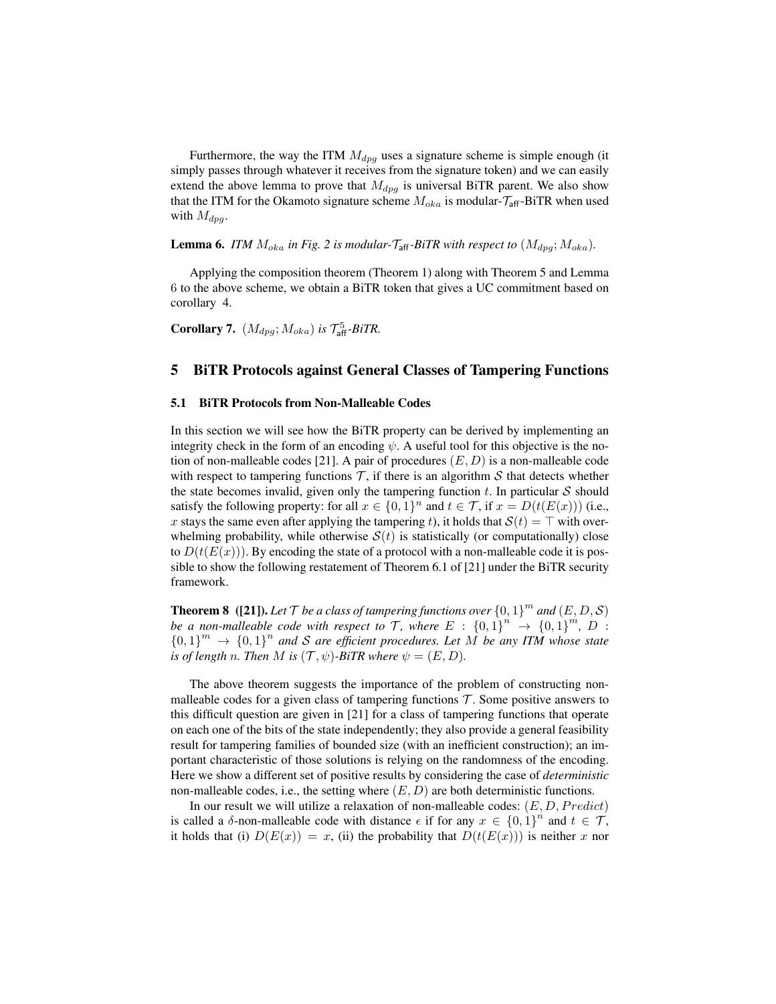Furthermore, the way the ITM  $M_{dpg}$  uses a signature scheme is simple enough (it simply passes through whatever it receives from the signature token) and we can easily extend the above lemma to prove that  $M_{dpg}$  is universal BiTR parent. We also show that the ITM for the Okamoto signature scheme  $M_{oka}$  is modular- $\mathcal{T}_{aff}$ -BiTR when used with  $M_{dpq}$ .

**Lemma 6.** *ITM*  $M_{oka}$  *in Fig. 2 is modular-T*<sub>aff</sub>-BiTR with respect to  $(M_{dpg}; M_{oka})$ .

Applying the composition theorem (Theorem 1) along with Theorem 5 and Lemma 6 to the above scheme, we obtain a BiTR token that gives a UC commitment based on corollary 4.

**Corollary 7.**  $(M_{dpg}; M_{oka})$  *is*  $\mathcal{T}_{\text{aff}}^5$ -*BiTR*.

# 5 BiTR Protocols against General Classes of Tampering Functions

### 5.1 BiTR Protocols from Non-Malleable Codes

In this section we will see how the BiTR property can be derived by implementing an integrity check in the form of an encoding  $\psi$ . A useful tool for this objective is the notion of non-malleable codes [21]. A pair of procedures  $(E, D)$  is a non-malleable code with respect to tampering functions  $\mathcal{T}$ , if there is an algorithm S that detects whether the state becomes invalid, given only the tampering function t. In particular  $S$  should satisfy the following property: for all  $x \in \{0,1\}^n$  and  $t \in \mathcal{T}$ , if  $x = D(t(E(x)))$  (i.e., x stays the same even after applying the tampering t), it holds that  $S(t) = \top$  with overwhelming probability, while otherwise  $S(t)$  is statistically (or computationally) close to  $D(t(E(x)))$ . By encoding the state of a protocol with a non-malleable code it is possible to show the following restatement of Theorem 6.1 of [21] under the BiTR security framework.

**Theorem 8** ([21]). Let  $\mathcal T$  be a class of tampering functions over  $\{0,1\}^m$  and  $(E, D, \mathcal S)$ *be a non-malleable code with respect to*  $\mathcal{T}$ *, where*  $E : \{0,1\}^n \rightarrow \{0,1\}^m$ *, D* :  ${0,1}^m$   $\rightarrow$   ${0,1}^n$  and *S* are efficient procedures. Let *M* be any ITM whose state *is of length n. Then M is*  $(\mathcal{T}, \psi)$ *-BiTR where*  $\psi = (E, D)$ *.* 

The above theorem suggests the importance of the problem of constructing nonmalleable codes for a given class of tampering functions  $\mathcal T$ . Some positive answers to this difficult question are given in [21] for a class of tampering functions that operate on each one of the bits of the state independently; they also provide a general feasibility result for tampering families of bounded size (with an inefficient construction); an important characteristic of those solutions is relying on the randomness of the encoding. Here we show a different set of positive results by considering the case of *deterministic* non-malleable codes, i.e., the setting where  $(E, D)$  are both deterministic functions.

In our result we will utilize a relaxation of non-malleable codes:  $(E, D, Predict)$ is called a  $\delta$ -non-malleable code with distance  $\epsilon$  if for any  $x \in \{0,1\}^n$  and  $t \in \mathcal{T}$ , it holds that (i)  $D(E(x)) = x$ , (ii) the probability that  $D(t(E(x)))$  is neither x nor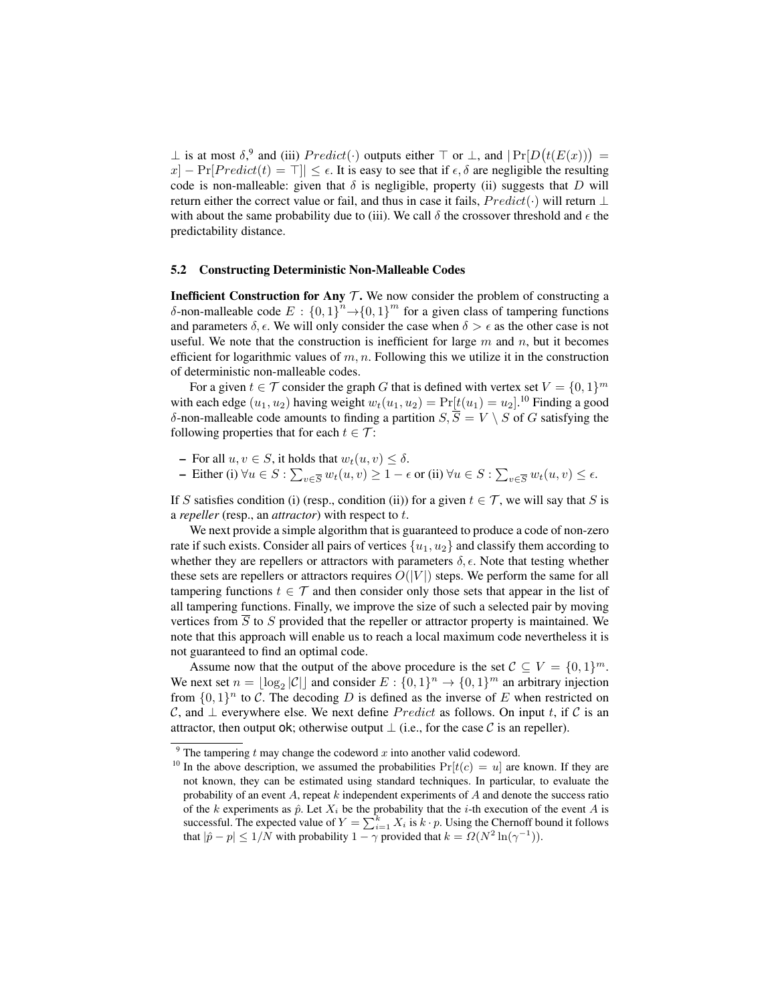$\bot$  is at most δ,<sup>9</sup> and (iii) *Predict*(·) outputs either ⊤ or ⊥, and  $|Pr[D(t(E(x)))$  =  $|x| - \Pr[Predict(t) = \top] \leq \epsilon$ . It is easy to see that if  $\epsilon$ ,  $\delta$  are negligible the resulting code is non-malleable: given that  $\delta$  is negligible, property (ii) suggests that D will return either the correct value or fail, and thus in case it fails,  $Predict(\cdot)$  will return  $\bot$ with about the same probability due to (iii). We call  $\delta$  the crossover threshold and  $\epsilon$  the predictability distance.

### 5.2 Constructing Deterministic Non-Malleable Codes

**Inefficient Construction for Any**  $T$ **.** We now consider the problem of constructing a δ-non-malleable code  $E: \{0,1\}^n \rightarrow \{0,1\}^m$  for a given class of tampering functions and parameters  $\delta$ ,  $\epsilon$ . We will only consider the case when  $\delta > \epsilon$  as the other case is not useful. We note that the construction is inefficient for large  $m$  and  $n$ , but it becomes efficient for logarithmic values of  $m, n$ . Following this we utilize it in the construction of deterministic non-malleable codes.

For a given  $t \in \mathcal{T}$  consider the graph G that is defined with vertex set  $V = \{0, 1\}^m$ with each edge  $(u_1, u_2)$  having weight  $w_t(u_1, u_2) = \Pr[t(u_1) = u_2]$ .<sup>10</sup> Finding a good δ-non-malleable code amounts to finding a partition  $S$ ,  $\overline{S} = V \setminus S$  of G satisfying the following properties that for each  $t \in \mathcal{T}$ :

- For all  $u, v \in S$ , it holds that  $w_t(u, v) \leq \delta$ .
- Either (i) ∀u ∈ S :  $\sum_{v \in \overline{S}} w_t(u, v) \ge 1 \epsilon$  or (ii) ∀u ∈ S :  $\sum_{v \in \overline{S}} w_t(u, v) \le \epsilon$ .

If S satisfies condition (i) (resp., condition (ii)) for a given  $t \in \mathcal{T}$ , we will say that S is a *repeller* (resp., an *attractor*) with respect to t.

We next provide a simple algorithm that is guaranteed to produce a code of non-zero rate if such exists. Consider all pairs of vertices  $\{u_1, u_2\}$  and classify them according to whether they are repellers or attractors with parameters  $\delta$ ,  $\epsilon$ . Note that testing whether these sets are repellers or attractors requires  $O(|V|)$  steps. We perform the same for all tampering functions  $t \in \mathcal{T}$  and then consider only those sets that appear in the list of all tampering functions. Finally, we improve the size of such a selected pair by moving vertices from  $\overline{S}$  to  $S$  provided that the repeller or attractor property is maintained. We note that this approach will enable us to reach a local maximum code nevertheless it is not guaranteed to find an optimal code.

Assume now that the output of the above procedure is the set  $C \subseteq V = \{0, 1\}^m$ . We next set  $n = \lfloor \log_2 |\mathcal{C}| \rfloor$  and consider  $E : \{0, 1\}^n \to \{0, 1\}^m$  an arbitrary injection from  $\{0,1\}^n$  to C. The decoding D is defined as the inverse of E when restricted on C, and  $\perp$  everywhere else. We next define *Predict* as follows. On input t, if C is an attractor, then output **ok**; otherwise output  $\perp$  (i.e., for the case C is an repeller).

<sup>&</sup>lt;sup>9</sup> The tampering t may change the codeword x into another valid codeword.

<sup>&</sup>lt;sup>10</sup> In the above description, we assumed the probabilities  $Pr[t(c) = u]$  are known. If they are not known, they can be estimated using standard techniques. In particular, to evaluate the probability of an event  $A$ , repeat  $k$  independent experiments of  $A$  and denote the success ratio of the k experiments as  $\hat{p}$ . Let  $X_i$  be the probability that the i-th execution of the event A is successful. The expected value of  $Y = \sum_{i=1}^{k} X_i$  is  $k \cdot p$ . Using the Chernoff bound it follows that  $|\hat{p} - p| \le 1/N$  with probability  $1 - \gamma$  provided that  $k = \Omega(N^2 \ln(\gamma^{-1}))$ .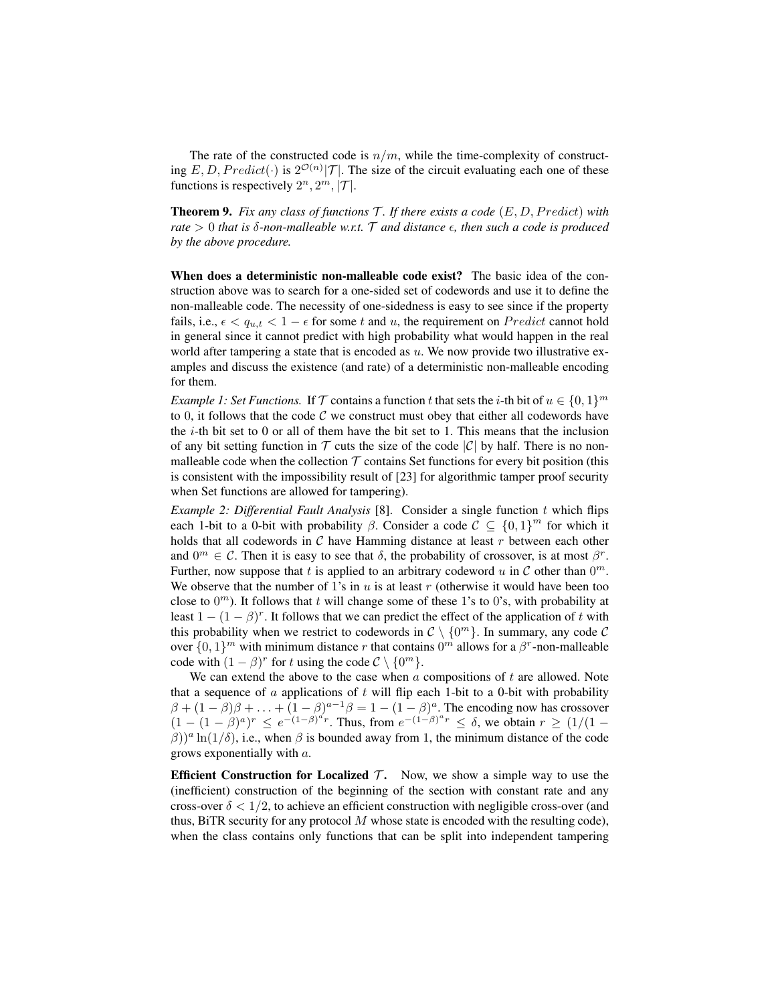The rate of the constructed code is  $n/m$ , while the time-complexity of constructing  $E, D, Predict(\cdot)$  is  $2^{\mathcal{O}(n)}|\mathcal{T}|$ . The size of the circuit evaluating each one of these functions is respectively  $2^n, 2^m, |\mathcal{T}|$ .

**Theorem 9.** Fix any class of functions  $T$ . If there exists a code  $(E, D, Predict)$  with *rate*  $> 0$  *that is*  $\delta$ -non-malleable w.r.t.  $\mathcal T$  *and distance*  $\epsilon$ , *then such a code is produced by the above procedure.*

When does a deterministic non-malleable code exist? The basic idea of the construction above was to search for a one-sided set of codewords and use it to define the non-malleable code. The necessity of one-sidedness is easy to see since if the property fails, i.e.,  $\epsilon < q_{u,t} < 1 - \epsilon$  for some t and u, the requirement on *Predict* cannot hold in general since it cannot predict with high probability what would happen in the real world after tampering a state that is encoded as  $u$ . We now provide two illustrative examples and discuss the existence (and rate) of a deterministic non-malleable encoding for them.

*Example 1: Set Functions.* If  $\mathcal T$  contains a function t that sets the *i*-th bit of  $u \in \{0,1\}^m$ to 0, it follows that the code  $\mathcal C$  we construct must obey that either all codewords have the i-th bit set to 0 or all of them have the bit set to 1. This means that the inclusion of any bit setting function in  $T$  cuts the size of the code  $|C|$  by half. There is no nonmalleable code when the collection  $\mathcal T$  contains Set functions for every bit position (this is consistent with the impossibility result of [23] for algorithmic tamper proof security when Set functions are allowed for tampering).

*Example 2: Differential Fault Analysis* [8]. Consider a single function t which flips each 1-bit to a 0-bit with probability  $\beta$ . Consider a code  $\mathcal{C} \subseteq \{0,1\}^m$  for which it holds that all codewords in  $\mathcal C$  have Hamming distance at least r between each other and  $0^m \in \mathcal{C}$ . Then it is easy to see that  $\delta$ , the probability of crossover, is at most  $\beta^r$ . Further, now suppose that t is applied to an arbitrary codeword u in C other than  $0^m$ . We observe that the number of 1's in  $u$  is at least  $r$  (otherwise it would have been too close to  $0<sup>m</sup>$ ). It follows that t will change some of these 1's to 0's, with probability at least  $1 - (1 - \beta)^r$ . It follows that we can predict the effect of the application of t with this probability when we restrict to codewords in  $\mathcal{C} \setminus \{0^m\}$ . In summary, any code  $\mathcal{C}$ over  $\{0,1\}^m$  with minimum distance r that contains  $0^m$  allows for a  $\beta^r$ -non-malleable code with  $(1 - \beta)^r$  for t using the code  $\mathcal{C} \setminus \{0^m\}.$ 

We can extend the above to the case when  $\alpha$  compositions of  $t$  are allowed. Note that a sequence of a applications of t will flip each 1-bit to a 0-bit with probability  $\beta + (1 - \beta)\beta + \ldots + (1 - \beta)^{a-1}\beta = 1 - (1 - \beta)^a$ . The encoding now has crossover  $(1-(1-\beta)^a)^r \le e^{-(1-\beta)^a r}$ . Thus, from  $e^{-(1-\beta)^a r} \le \delta$ , we obtain  $r \ge (1/(1-\delta)^a)^r$ .  $(\beta)^{a} \ln(1/\delta)$ , i.e., when  $\beta$  is bounded away from 1, the minimum distance of the code grows exponentially with a.

**Efficient Construction for Localized**  $T$ . Now, we show a simple way to use the (inefficient) construction of the beginning of the section with constant rate and any cross-over  $\delta < 1/2$ , to achieve an efficient construction with negligible cross-over (and thus, BiTR security for any protocol  $M$  whose state is encoded with the resulting code), when the class contains only functions that can be split into independent tampering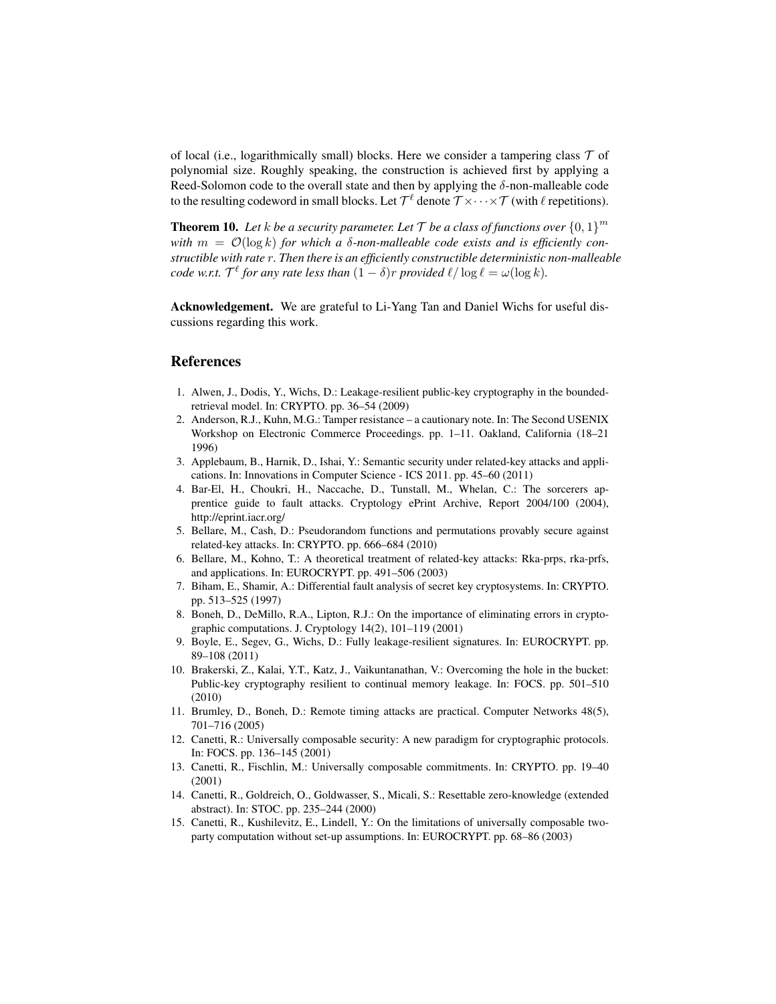of local (i.e., logarithmically small) blocks. Here we consider a tampering class  $\mathcal T$  of polynomial size. Roughly speaking, the construction is achieved first by applying a Reed-Solomon code to the overall state and then by applying the  $\delta$ -non-malleable code to the resulting codeword in small blocks. Let  $\mathcal{T}^\ell$  denote  $\mathcal{T} \times \cdots \times \mathcal{T}$  (with  $\ell$  repetitions).

**Theorem 10.** Let  $k$  be a security parameter. Let  $\mathcal T$  be a class of functions over  $\{0,1\}^m$ with  $m = \mathcal{O}(\log k)$  for which a  $\delta$ -non-malleable code exists and is efficiently con*structible with rate* r*. Then there is an efficiently constructible deterministic non-malleable code w.r.t.*  $\mathcal{T}^{\ell}$  *for any rate less than*  $(1 - \delta)r$  *provided*  $\ell / \log \ell = \omega(\log k)$ *.* 

Acknowledgement. We are grateful to Li-Yang Tan and Daniel Wichs for useful discussions regarding this work.

# References

- 1. Alwen, J., Dodis, Y., Wichs, D.: Leakage-resilient public-key cryptography in the boundedretrieval model. In: CRYPTO. pp. 36–54 (2009)
- 2. Anderson, R.J., Kuhn, M.G.: Tamper resistance a cautionary note. In: The Second USENIX Workshop on Electronic Commerce Proceedings. pp. 1–11. Oakland, California (18–21 1996)
- 3. Applebaum, B., Harnik, D., Ishai, Y.: Semantic security under related-key attacks and applications. In: Innovations in Computer Science - ICS 2011. pp. 45–60 (2011)
- 4. Bar-El, H., Choukri, H., Naccache, D., Tunstall, M., Whelan, C.: The sorcerers apprentice guide to fault attacks. Cryptology ePrint Archive, Report 2004/100 (2004), http://eprint.iacr.org/
- 5. Bellare, M., Cash, D.: Pseudorandom functions and permutations provably secure against related-key attacks. In: CRYPTO. pp. 666–684 (2010)
- 6. Bellare, M., Kohno, T.: A theoretical treatment of related-key attacks: Rka-prps, rka-prfs, and applications. In: EUROCRYPT. pp. 491–506 (2003)
- 7. Biham, E., Shamir, A.: Differential fault analysis of secret key cryptosystems. In: CRYPTO. pp. 513–525 (1997)
- 8. Boneh, D., DeMillo, R.A., Lipton, R.J.: On the importance of eliminating errors in cryptographic computations. J. Cryptology 14(2), 101–119 (2001)
- 9. Boyle, E., Segev, G., Wichs, D.: Fully leakage-resilient signatures. In: EUROCRYPT. pp. 89–108 (2011)
- 10. Brakerski, Z., Kalai, Y.T., Katz, J., Vaikuntanathan, V.: Overcoming the hole in the bucket: Public-key cryptography resilient to continual memory leakage. In: FOCS. pp. 501–510 (2010)
- 11. Brumley, D., Boneh, D.: Remote timing attacks are practical. Computer Networks 48(5), 701–716 (2005)
- 12. Canetti, R.: Universally composable security: A new paradigm for cryptographic protocols. In: FOCS. pp. 136–145 (2001)
- 13. Canetti, R., Fischlin, M.: Universally composable commitments. In: CRYPTO. pp. 19–40 (2001)
- 14. Canetti, R., Goldreich, O., Goldwasser, S., Micali, S.: Resettable zero-knowledge (extended abstract). In: STOC. pp. 235–244 (2000)
- 15. Canetti, R., Kushilevitz, E., Lindell, Y.: On the limitations of universally composable twoparty computation without set-up assumptions. In: EUROCRYPT. pp. 68–86 (2003)